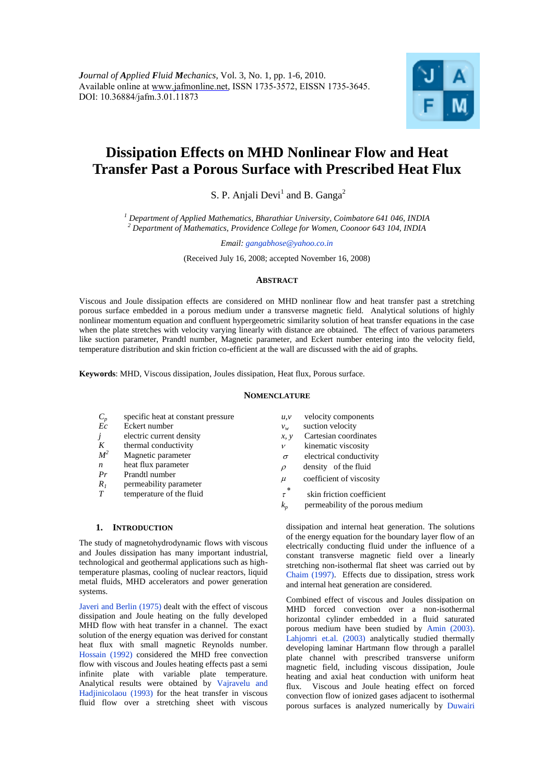

# **Dissipation Effects on MHD Nonlinear Flow and Heat Transfer Past a Porous Surface with Prescribed Heat Flux**

S. P. Anjali Devi<sup>1</sup> and B. Ganga<sup>2</sup>

*<sup>1</sup> Department of Applied Mathematics, Bharathiar University, Coimbatore 641 046, INDIA <sup>2</sup> Department of Mathematics, Providence College for Women, Coonoor 643 104, INDIA* 

*Email: gangabhose@yahoo.co.in*

(Received July 16, 2008; accepted November 16, 2008)

# **ABSTRACT**

Viscous and Joule dissipation effects are considered on MHD nonlinear flow and heat transfer past a stretching porous surface embedded in a porous medium under a transverse magnetic field. Analytical solutions of highly nonlinear momentum equation and confluent hypergeometric similarity solution of heat transfer equations in the case when the plate stretches with velocity varying linearly with distance are obtained. The effect of various parameters like suction parameter, Prandtl number, Magnetic parameter, and Eckert number entering into the velocity field, temperature distribution and skin friction co-efficient at the wall are discussed with the aid of graphs.

**Keywords**: MHD, Viscous dissipation, Joules dissipation, Heat flux, Porous surface.

#### **NOMENCLATURE**

| $C_p$            | specific heat at constant pressure       | u, v        | velocity components               |
|------------------|------------------------------------------|-------------|-----------------------------------|
| Ec               | Eckert number                            | $v_w$       | suction velocity                  |
| j                | electric current density                 | x, y        | Cartesian coordinates             |
| K                | thermal conductivity                     | v           | kinematic viscosity               |
| M <sup>2</sup>   | Magnetic parameter                       | $\sigma$    | electrical conductivity           |
| $\boldsymbol{n}$ | heat flux parameter                      | $\rho$      | density of the fluid              |
| Pr<br>$R_I$      | Prandtl number<br>permeability parameter | $\mu$       | coefficient of viscosity          |
| $T_{\rm}$        | temperature of the fluid                 | *<br>$\tau$ | skin friction coefficient         |
|                  |                                          | $k_{n}$     | permeability of the porous medium |

### **1. INTRODUCTION**

The study of magnetohydrodynamic flows with viscous and Joules dissipation has many important industrial, technological and geothermal applications such as hightemperature plasmas, cooling of nuclear reactors, liquid metal fluids, MHD accelerators and power generation systems.

Javeri and Berlin (1975) dealt with the effect of viscous dissipation and Joule heating on the fully developed MHD flow with heat transfer in a channel. The exact solution of the energy equation was derived for constant heat flux with small magnetic Reynolds number. Hossain (1992) considered the MHD free convection flow with viscous and Joules heating effects past a semi infinite plate with variable plate temperature. Analytical results were obtained by Vajravelu and Hadjinicolaou (1993) for the heat transfer in viscous fluid flow over a stretching sheet with viscous

dissipation and internal heat generation. The solutions of the energy equation for the boundary layer flow of an electrically conducting fluid under the influence of a constant transverse magnetic field over a linearly stretching non-isothermal flat sheet was carried out by Chaim (1997). Effects due to dissipation, stress work

and internal heat generation are considered.

Combined effect of viscous and Joules dissipation on MHD forced convection over a non-isothermal horizontal cylinder embedded in a fluid saturated porous medium have been studied by Amin (2003). Lahjomri et.al. (2003) analytically studied thermally developing laminar Hartmann flow through a parallel plate channel with prescribed transverse uniform magnetic field, including viscous dissipation, Joule heating and axial heat conduction with uniform heat flux. Viscous and Joule heating effect on forced convection flow of ionized gases adjacent to isothermal porous surfaces is analyzed numerically by Duwairi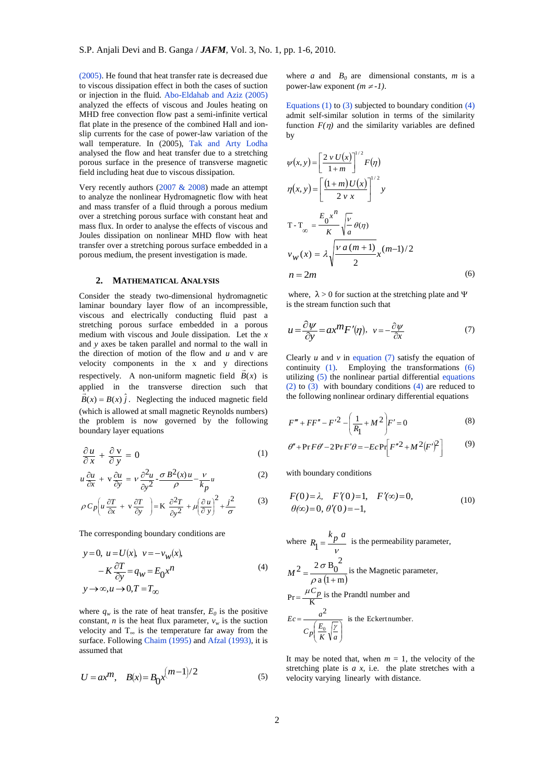(2005). He found that heat transfer rate is decreased due to viscous dissipation effect in both the cases of suction or injection in the fluid. Abo-Eldahab and Aziz (2005) analyzed the effects of viscous and Joules heating on MHD free convection flow past a semi-infinite vertical flat plate in the presence of the combined Hall and ionslip currents for the case of power-law variation of the wall temperature. In (2005), Tak and Arty Lodha analysed the flow and heat transfer due to a stretching porous surface in the presence of transverse magnetic field including heat due to viscous dissipation.

Very recently authors  $(2007 \& 2008)$  made an attempt to analyze the nonlinear Hydromagnetic flow with heat and mass transfer of a fluid through a porous medium over a stretching porous surface with constant heat and mass flux. In order to analyse the effects of viscous and Joules dissipation on nonlinear MHD flow with heat transfer over a stretching porous surface embedded in a porous medium, the present investigation is made.

## **2. MATHEMATICAL ANALYSIS**

Consider the steady two-dimensional hydromagnetic laminar boundary layer flow of an incompressible, viscous and electrically conducting fluid past a stretching porous surface embedded in a porous medium with viscous and Joule dissipation. Let the *x* and *y* axes be taken parallel and normal to the wall in the direction of motion of the flow and *u* and v are velocity components in the  $x$  and  $y$  directions respectively. A non-uniform magnetic field  $B(x)$  is applied in the transverse direction such that  $\vec{B}(x) = B(x) \hat{j}$ . Neglecting the induced magnetic field (which is allowed at small magnetic Reynolds numbers) the problem is now governed by the following boundary layer equations

$$
\frac{\partial u}{\partial x} + \frac{\partial v}{\partial y} = 0 \tag{1}
$$

$$
u\frac{\partial u}{\partial x} + v\frac{\partial u}{\partial y} = v\frac{\partial^2 u}{\partial y^2} - \frac{\sigma}{\rho}B^2(x)u - \frac{v}{k_p}u
$$
 (2)

$$
\rho C_p \left( u \frac{\partial T}{\partial x} + v \frac{\partial T}{\partial y} \right) = K \frac{\partial^2 T}{\partial y^2} + \mu \left( \frac{\partial u}{\partial y} \right)^2 + \frac{j^2}{\sigma} \tag{3}
$$

The corresponding boundary conditions are

$$
y = 0, \ u = U(x), \ v = -v_W(x),
$$
  

$$
-K \frac{\partial T}{\partial y} = q_W = E_0 x^n
$$
  

$$
y \to \infty, u \to 0, T = T_\infty
$$
 (4)

where  $q_w$  is the rate of heat transfer,  $E_0$  is the positive constant, *n* is the heat flux parameter,  $v_w$  is the suction velocity and  $T_{\infty}$  is the temperature far away from the surface. Following Chaim (1995) and Afzal (1993), it is assumed that

$$
U = ax^m, \quad B(x) = B_0 x^{(m-1)/2}
$$
 (5)

where *a* and  $B_0$  are dimensional constants, *m* is a power-law exponent  $(m \ne -1)$ .

Equations (1) to (3) subjected to boundary condition  $(4)$ admit self-similar solution in terms of the similarity function  $F(\eta)$  and the similarity variables are defined by

$$
\psi(x, y) = \left[\frac{2 v U(x)}{1+m}\right]^{1/2} F(\eta)
$$
  
\n
$$
\eta(x, y) = \left[\frac{(1+m)U(x)}{2 v x}\right]^{1/2} y
$$
  
\n
$$
T - T_{\infty} = \frac{E_0 x^n}{K} \sqrt{\frac{v}{a}} \theta(\eta)
$$
  
\n
$$
v_W(x) = \lambda \sqrt{\frac{v a (m+1)}{2}} x^{(m-1)/2}
$$
  
\n
$$
n = 2m
$$
 (6)

where,  $\lambda > 0$  for suction at the stretching plate and  $\Psi$ is the stream function such that

$$
u = \frac{\partial \psi}{\partial y} = ax^m F'(\eta), \quad v = -\frac{\partial \psi}{\partial x}
$$
 (7)

Clearly *u* and *v* in equation (7) satisfy the equation of continuity (1). Employing the transformations (6) utilizing (5) the nonlinear partial differential equations (2) to (3) with boundary conditions (4) are reduced to the following nonlinear ordinary differential equations

$$
F''' + FF'' - F'^{2} - \left(\frac{1}{R_{1}} + M^{2}\right)F' = 0
$$
\n(8)

$$
\theta'' + \Pr{F\theta' - 2\Pr{F'\theta} = -E\Pr\left[F''^2 + M^2(F')^2\right]} \tag{9}
$$

with boundary conditions

$$
F(0) = \lambda, \quad F'(0) = 1, \quad F'(\infty) = 0,
$$
  
\n
$$
\theta(\infty) = 0, \quad \theta'(0) = -1,
$$
 (10)

where 
$$
R_1 = \frac{k_p a}{v}
$$
 is the permeability parameter,  
\n
$$
M^2 = \frac{2 \sigma B_0^2}{\rho a (1 + m)}
$$
 is the Magnetic parameter,  
\n
$$
Pr = \frac{\mu C_p}{K}
$$
 is the Prandtl number and  
\n
$$
Ec = \frac{a^2}{C_p \left(\frac{E_0}{K}\sqrt{\frac{\gamma}{a}}\right)}
$$
 is the Eckert number.

It may be noted that, when  $m = 1$ , the velocity of the stretching plate is *a x*, i.e. the plate stretches with a velocity varying linearly with distance.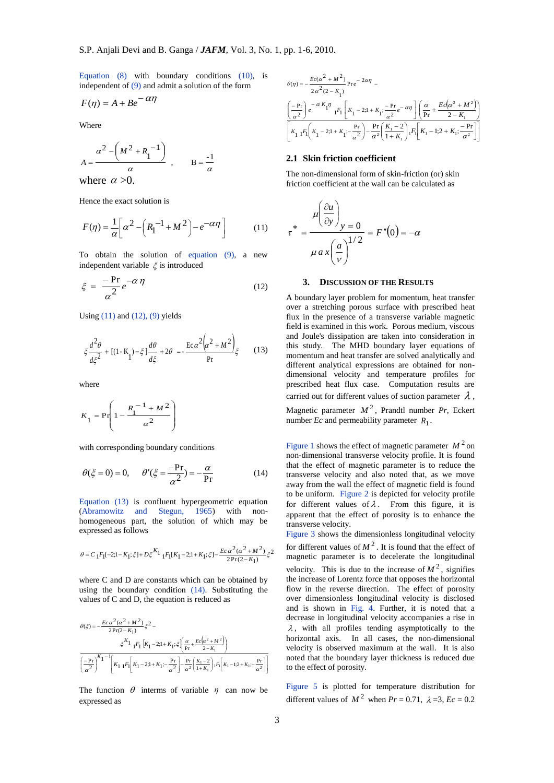Equation  $(8)$  with boundary conditions  $(10)$ , is independent of (9) and admit a solution of the form

$$
F(\eta) = A + Be^{-\alpha \eta}
$$

Where

$$
A = \frac{\alpha^2 - \left(M^2 + R_1^{-1}\right)}{\alpha}, \qquad B = \frac{-1}{\alpha}
$$

where  $\alpha > 0$ .

Hence the exact solution is

$$
F(\eta) = \frac{1}{\alpha} \left[ \alpha^2 - \left( R_1^{-1} + M^2 \right) - e^{-\alpha \eta} \right]
$$
 (11)

To obtain the solution of equation (9), a new independent variable  $\xi$  is introduced

$$
\xi = \frac{-\Pr}{\alpha^2} e^{-\alpha \eta} \tag{12}
$$

Using  $(11)$  and  $(12)$ ,  $(9)$  yields

$$
\xi \frac{d^2 \theta}{d\xi^2} + [(1 - K_1) - \xi] \frac{d\theta}{d\xi} + 2\theta = -\frac{\operatorname{Ec}\alpha^2 \left(\alpha^2 + M^2\right)}{Pr} \xi \tag{13}
$$

where

$$
K_1 = \Pr\left(1 - \frac{R_1^{-1} + M^2}{\alpha^2}\right)
$$

with corresponding boundary conditions

$$
\theta(\xi = 0) = 0, \quad \theta'(\xi = \frac{-\text{Pr}}{\alpha^2}) = -\frac{\alpha}{\text{Pr}}
$$
 (14)

Equation (13) is confluent hypergeometric equation (Abramowitz and Stegun, 1965) with nonhomogeneous part, the solution of which may be expressed as follows

$$
\theta=C_{1}F_{1}[-2;1-K_{1};\xi]+D\xi^{K_{1}}{}_{1}F_{1}[K_{1}-2;1+K_{1};\xi]-\frac{Ec\,\alpha^{2}(\alpha^{2}+M^{2})}{2\text{Pr}(2-K_{1})}\xi^{2}
$$

where C and D are constants which can be obtained by using the boundary condition (14). Substituting the values of C and D, the equation is reduced as

$$
\begin{split} \theta(\xi) =& -\frac{Ec\,\alpha^2(\alpha^2+M^2)}{2\,\text{Pr}(2-K_1)}\xi^2 -\\ &\qquad \xi^{K_1}\, {}_1F_1\left[K_1-2;1+K_1;\xi\right]\!\!\left(\frac{\alpha}{\text{Pr}}\!+\!\frac{Ec\!\left(\alpha^2+M^2\right)}{2-K_1}\right)\\ &\overline{\left(\frac{-\text{Pr}}{\alpha^2}\right)^{K_1-1}}\!\!\left[K_1\, {}_1F_1\!\!\left[K_1-2;1+K_1;\!\!-\!\frac{\text{Pr}}{\alpha^2}\right]\!\!-\!\frac{\text{Pr}}{\alpha^2}\!\left(\frac{K_1-2}{1+K_1}\right)\!\!,\!F_1\!\!\left[K_1-1;2+K_1;\!\!-\!\frac{\text{Pr}}{\alpha^2}\right]\!\!\right] \end{split}
$$

The function  $\theta$  interms of variable  $\eta$  can now be expressed as

$$
\begin{split} \theta(\eta) &= -\frac{Ec(\alpha^2 + M^2)}{2\alpha^2(2 - K_1)} \text{Pr} e^{-2\alpha\eta} - \\ & \left( \frac{-\text{Pr}}{\alpha^2} \right) e^{-\alpha K_1 \eta} \ _{1}F_1 \left[ K_1 - 2; 1 + K_1; \frac{-\text{Pr}}{\alpha^2} e^{-\alpha\eta} \right] \left( \frac{\alpha}{\text{Pr}} + \frac{Ec(\alpha^2 + M^2)}{2 - K_1} \right) \\ & \left[ K_1 \ _{1}F_1 \left( K_1 - 2; 1 + K_1; -\frac{\text{Pr}}{\alpha^2} \right) - \frac{\text{Pr}}{\alpha^2} \left( \frac{K_1 - 2}{1 + K_1} \right) {}_{1}F_1 \left[ K_1 - 1; 2 + K_1; \frac{-\text{Pr}}{\alpha^2} \right] \right] \end{split}
$$

### **2.1 Skin friction coefficient**

The non-dimensional form of skin-friction (or) skin friction coefficient at the wall can be calculated as

$$
\tau^* = \frac{\mu \left(\frac{\partial u}{\partial y}\right)_y = 0}{\mu a x \left(\frac{a}{\nu}\right)^{1/2}} = F''(0) = -\alpha
$$

## **3. DISCUSSION OF THE RESULTS**

A boundary layer problem for momentum, heat transfer over a stretching porous surface with prescribed heat flux in the presence of a transverse variable magnetic field is examined in this work. Porous medium, viscous and Joule's dissipation are taken into consideration in this study. The MHD boundary layer equations of momentum and heat transfer are solved analytically and different analytical expressions are obtained for nondimensional velocity and temperature profiles for prescribed heat flux case. Computation results are carried out for different values of suction parameter  $\lambda$ , Magnetic parameter  $M^2$ , Prandtl number *Pr*, Eckert number *Ec* and permeability parameter  $R_1$ .

Figure 1 shows the effect of magnetic parameter  $M^2$  on non-dimensional transverse velocity profile. It is found that the effect of magnetic parameter is to reduce the transverse velocity and also noted that, as we move away from the wall the effect of magnetic field is found to be uniform. Figure 2 is depicted for velocity profile for different values of  $\lambda$ . From this figure, it is apparent that the effect of porosity is to enhance the transverse velocity.

Figure 3 shows the dimensionless longitudinal velocity for different values of  $M^2$ . It is found that the effect of magnetic parameter is to decelerate the longitudinal velocity. This is due to the increase of  $M^2$ , signifies the increase of Lorentz force that opposes the horizontal flow in the reverse direction. The effect of porosity over dimensionless longitudinal velocity is disclosed and is shown in Fig. 4. Further, it is noted that a decrease in longitudinal velocity accompanies a rise in  $\lambda$ , with all profiles tending asymptotically to the horizontal axis. In all cases, the non-dimensional velocity is observed maximum at the wall. It is also noted that the boundary layer thickness is reduced due to the effect of porosity.

Figure 5 is plotted for temperature distribution for different values of  $M^2$  when  $Pr = 0.71$ ,  $\lambda = 3$ ,  $Ec = 0.2$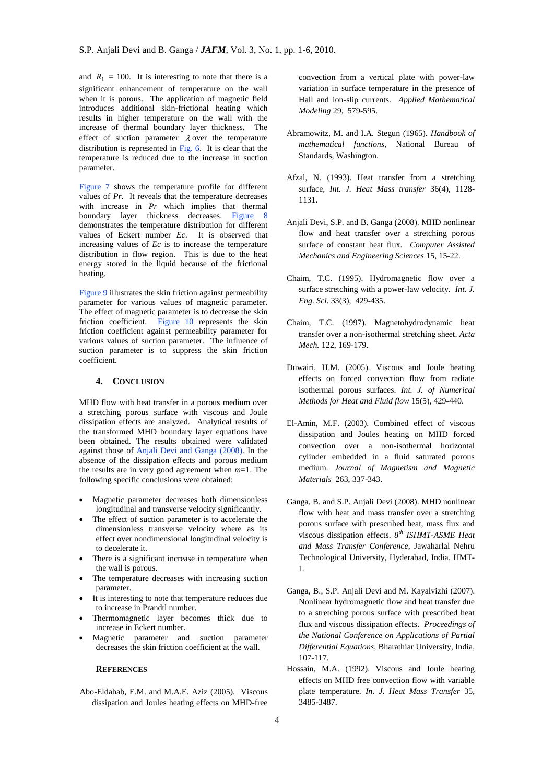and  $R_1 = 100$ . It is interesting to note that there is a significant enhancement of temperature on the wall when it is porous. The application of magnetic field introduces additional skin-frictional heating which results in higher temperature on the wall with the increase of thermal boundary layer thickness. The effect of suction parameter  $\lambda$  over the temperature distribution is represented in Fig. 6. It is clear that the temperature is reduced due to the increase in suction parameter.

Figure 7 shows the temperature profile for different values of *Pr.* It reveals that the temperature decreases with increase in *Pr* which implies that thermal boundary layer thickness decreases. Figure 8 demonstrates the temperature distribution for different values of Eckert number *Ec*. It is observed that increasing values of *Ec* is to increase the temperature distribution in flow region. This is due to the heat energy stored in the liquid because of the frictional heating.

Figure 9 illustrates the skin friction against permeability parameter for various values of magnetic parameter. The effect of magnetic parameter is to decrease the skin friction coefficient. Figure 10 represents the skin friction coefficient against permeability parameter for various values of suction parameter. The influence of suction parameter is to suppress the skin friction coefficient.

# **4. CONCLUSION**

MHD flow with heat transfer in a porous medium over a stretching porous surface with viscous and Joule dissipation effects are analyzed. Analytical results of the transformed MHD boundary layer equations have been obtained. The results obtained were validated against those of Anjali Devi and Ganga (2008). In the absence of the dissipation effects and porous medium the results are in very good agreement when *m*=1. The following specific conclusions were obtained:

- Magnetic parameter decreases both dimensionless longitudinal and transverse velocity significantly.
- The effect of suction parameter is to accelerate the dimensionless transverse velocity where as its effect over nondimensional longitudinal velocity is to decelerate it.
- There is a significant increase in temperature when the wall is porous.
- The temperature decreases with increasing suction parameter.
- It is interesting to note that temperature reduces due to increase in Prandtl number.
- Thermomagnetic layer becomes thick due to increase in Eckert number.
- Magnetic parameter and suction parameter decreases the skin friction coefficient at the wall.

## **REFERENCES**

Abo-Eldahab, E.M. and M.A.E. Aziz (2005). Viscous dissipation and Joules heating effects on MHD-free convection from a vertical plate with power-law variation in surface temperature in the presence of Hall and ion-slip currents. *Applied Mathematical Modeling* 29, 579-595.

- Abramowitz, M. and I.A. Stegun (1965). *Handbook of mathematical functions*, National Bureau of Standards, Washington.
- Afzal, N. (1993). Heat transfer from a stretching surface, *Int. J. Heat Mass transfer* 36(4), 1128- 1131.
- Anjali Devi, S.P. and B. Ganga (2008). MHD nonlinear flow and heat transfer over a stretching porous surface of constant heat flux. *Computer Assisted Mechanics and Engineering Sciences* 15, 15-22.
- Chaim, T.C. (1995). Hydromagnetic flow over a surface stretching with a power-law velocity. *Int. J. Eng. Sci.* 33(3), 429-435.
- Chaim, T.C. (1997). Magnetohydrodynamic heat transfer over a non-isothermal stretching sheet. *Acta Mech.* 122, 169-179.
- Duwairi, H.M. (2005). Viscous and Joule heating effects on forced convection flow from radiate isothermal porous surfaces. *Int. J. of Numerical Methods for Heat and Fluid flow* 15(5), 429-440.
- El-Amin, M.F. (2003). Combined effect of viscous dissipation and Joules heating on MHD forced convection over a non-isothermal horizontal cylinder embedded in a fluid saturated porous medium. *Journal of Magnetism and Magnetic Materials* 263, 337-343.
- Ganga, B. and S.P. Anjali Devi (2008). MHD nonlinear flow with heat and mass transfer over a stretching porous surface with prescribed heat, mass flux and viscous dissipation effects. *8 th ISHMT-ASME Heat and Mass Transfer Conference*, Jawaharlal Nehru Technological University, Hyderabad, India, HMT-1.
- Ganga, B., S.P. Anjali Devi and M. Kayalvizhi (2007). Nonlinear hydromagnetic flow and heat transfer due to a stretching porous surface with prescribed heat flux and viscous dissipation effects. *Proceedings of the National Conference on Applications of Partial Differential Equations*, Bharathiar University, India, 107-117.
- Hossain, M.A. (1992). Viscous and Joule heating effects on MHD free convection flow with variable plate temperature. *In. J. Heat Mass Transfer* 35, 3485-3487.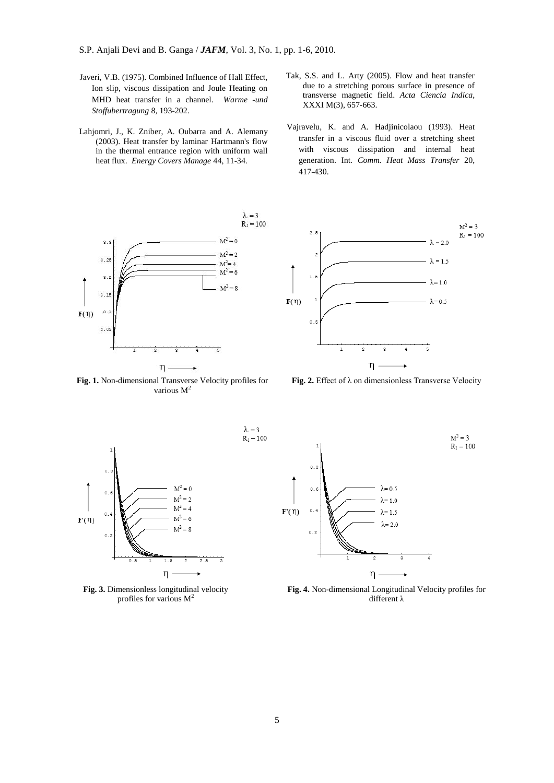- Javeri, V.B. (1975). Combined Influence of Hall Effect, Ion slip, viscous dissipation and Joule Heating on MHD heat transfer in a channel. *Warme -und Stoffubertragung* 8, 193-202.
- Lahjomri, J., K. Zniber, A. Oubarra and A. Alemany (2003). Heat transfer by laminar Hartmann's flow in the thermal entrance region with uniform wall heat flux. *Energy Covers Manage* 44, 11-34.
- $\lambda=3$  $R_1 = 100$  $M^2=0$  $3.3$  $M^2 = 2$  $3.25$  $M^2 = 4$  $M^2 = 6$  $3.2$  $M^2 = 8$  $3.1$  $F(\eta)$  $3.1$  $3.05$ η

**Fig. 1.** Non-dimensional Transverse Velocity profiles for various  $M^2$ 

- Tak, S.S. and L. Arty (2005). Flow and heat transfer due to a stretching porous surface in presence of transverse magnetic field. *Acta Ciencia Indica*, XXXI M(3), 657-663.
- Vajravelu, K. and A. Hadjinicolaou (1993). Heat transfer in a viscous fluid over a stretching sheet with viscous dissipation and internal heat generation. Int*. Comm. Heat Mass Transfer* 20, 417-430.



**Fig. 2.** Effect of λ on dimensionless Transverse Velocity



**Fig. 3.** Dimensionless longitudinal velocity profiles for various  $M^2$ 



**Fig. 4.** Non-dimensional Longitudinal Velocity profiles for different λ

 $\lambda=3$ 

 $R_1 = 100$